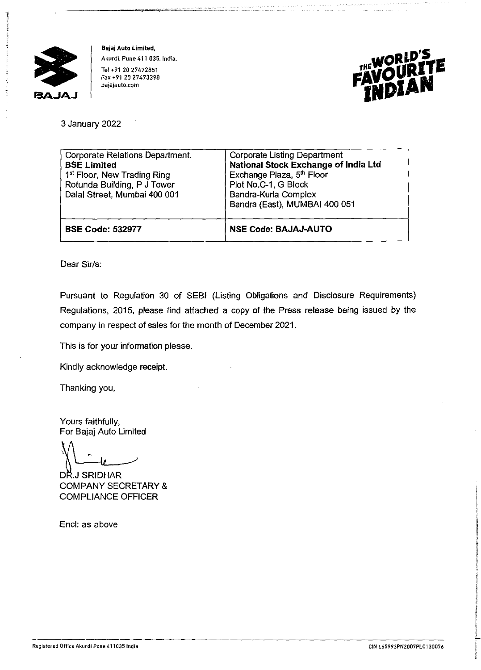

**Bajaj Auto Limited, Akurdi, Pune 411 035, India.**  Tel +91 20 27472851 Fax +91 20 27473398 **bajajauto.com** 



3 January 2022

| <b>Corporate Relations Department.</b><br><b>BSE Limited</b><br>1 <sup>st</sup> Floor, New Trading Ring<br>Rotunda Building, P J Tower<br>Dalal Street, Mumbai 400 001 | <b>Corporate Listing Department</b><br>National Stock Exchange of India Ltd<br>Exchange Plaza, 5 <sup>th</sup> Floor<br>Plot No.C-1, G Block<br>Bandra-Kurla Complex<br>Bandra (East), MUMBAI 400 051 |
|------------------------------------------------------------------------------------------------------------------------------------------------------------------------|-------------------------------------------------------------------------------------------------------------------------------------------------------------------------------------------------------|
| <b>BSE Code: 532977</b>                                                                                                                                                | <b>NSE Code: BAJAJ-AUTO</b>                                                                                                                                                                           |

Dear Sir/s:

Pursuant to Regulation 30 of SEBI (Listing Obligations and Disclosure Requirements) Regulations, 2015, please find attached a copy of the Press release being issued by the company in respect of sales for the month of December 2021.

This is for your information please.

Kindly acknowledge receipt.

Thanking you,

Yours faithfully, For Bajaj Auto Limited

DR.J SRIDHAR COMPANY SECRETARY & COMPLIANCE OFFICER

Encl: as above